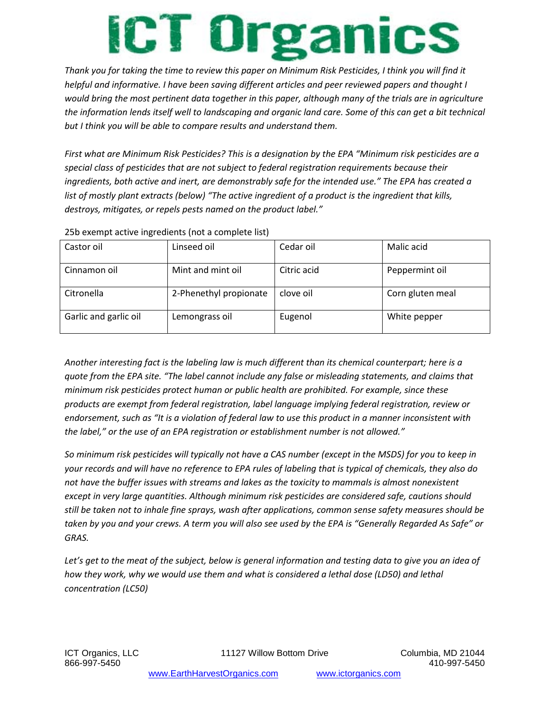*Thank you for taking the time to review this paper on Minimum Risk Pesticides, I think you will find it helpful and informative. I have been saving different articles and peer reviewed papers and thought I would bring the most pertinent data together in this paper, although many of the trials are in agriculture the information lends itself well to landscaping and organic land care. Some of this can get a bit technical but I think you will be able to compare results and understand them.*

*First what are Minimum Risk Pesticides? This is a designation by the EPA "Minimum risk pesticides are a special class of pesticides that are not subject to federal registration requirements because their ingredients, both active and inert, are demonstrably safe for the intended use." The EPA has created a list of mostly plant extracts (below) "The active ingredient of a product is the ingredient that kills, destroys, mitigates, or repels pests named on the product label."*

| Castor oil            | Linseed oil            | Cedar oil   | Malic acid       |
|-----------------------|------------------------|-------------|------------------|
| Cinnamon oil          | Mint and mint oil      | Citric acid | Peppermint oil   |
| Citronella            | 2-Phenethyl propionate | clove oil   | Corn gluten meal |
| Garlic and garlic oil | Lemongrass oil         | Eugenol     | White pepper     |

25b exempt active ingredients (not a complete list)

*Another interesting fact is the labeling law is much different than its chemical counterpart; here is a quote from the EPA site. "The label cannot include any false or misleading statements, and claims that minimum risk pesticides protect human or public health are prohibited. For example, since these products are exempt from federal registration, label language implying federal registration, review or endorsement, such as "It is a violation of federal law to use this product in a manner inconsistent with the label," or the use of an EPA registration or establishment number is not allowed."*

*So minimum risk pesticides will typically not have a CAS number (except in the MSDS) for you to keep in your records and will have no reference to EPA rules of labeling that is typical of chemicals, they also do not have the buffer issues with streams and lakes as the toxicity to mammals is almost nonexistent except in very large quantities. Although minimum risk pesticides are considered safe, cautions should still be taken not to inhale fine sprays, wash after applications, common sense safety measures should be taken by you and your crews. A term you will also see used by the EPA is "Generally Regarded As Safe" or GRAS.*

*Let's get to the meat of the subject, below is general information and testing data to give you an idea of how they work, why we would use them and what is considered a lethal dose (LD50) and lethal concentration (LC50)*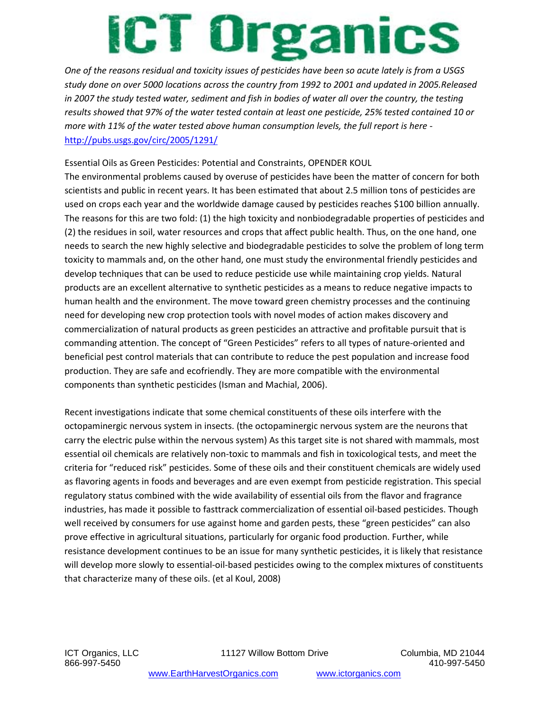*One of the reasons residual and toxicity issues of pesticides have been so acute lately is from a USGS study done on over 5000 locations across the country from 1992 to 2001 and updated in 2005.Released in 2007 the study tested water, sediment and fish in bodies of water all over the country, the testing results showed that 97% of the water tested contain at least one pesticide, 25% tested contained 10 or more with 11% of the water tested above human consumption levels, the full report is here* <http://pubs.usgs.gov/circ/2005/1291/>

Essential Oils as Green Pesticides: Potential and Constraints, OPENDER KOUL

The environmental problems caused by overuse of pesticides have been the matter of concern for both scientists and public in recent years. It has been estimated that about 2.5 million tons of pesticides are used on crops each year and the worldwide damage caused by pesticides reaches \$100 billion annually. The reasons for this are two fold: (1) the high toxicity and nonbiodegradable properties of pesticides and (2) the residues in soil, water resources and crops that affect public health. Thus, on the one hand, one needs to search the new highly selective and biodegradable pesticides to solve the problem of long term toxicity to mammals and, on the other hand, one must study the environmental friendly pesticides and develop techniques that can be used to reduce pesticide use while maintaining crop yields. Natural products are an excellent alternative to synthetic pesticides as a means to reduce negative impacts to human health and the environment. The move toward green chemistry processes and the continuing need for developing new crop protection tools with novel modes of action makes discovery and commercialization of natural products as green pesticides an attractive and profitable pursuit that is commanding attention. The concept of "Green Pesticides" refers to all types of nature-oriented and beneficial pest control materials that can contribute to reduce the pest population and increase food production. They are safe and ecofriendly. They are more compatible with the environmental components than synthetic pesticides (Isman and Machial, 2006).

Recent investigations indicate that some chemical constituents of these oils interfere with the octopaminergic nervous system in insects. (the octopaminergic nervous system are the neurons that carry the electric pulse within the nervous system) As this target site is not shared with mammals, most essential oil chemicals are relatively non-toxic to mammals and fish in toxicological tests, and meet the criteria for "reduced risk" pesticides. Some of these oils and their constituent chemicals are widely used as flavoring agents in foods and beverages and are even exempt from pesticide registration. This special regulatory status combined with the wide availability of essential oils from the flavor and fragrance industries, has made it possible to fasttrack commercialization of essential oil-based pesticides. Though well received by consumers for use against home and garden pests, these "green pesticides" can also prove effective in agricultural situations, particularly for organic food production. Further, while resistance development continues to be an issue for many synthetic pesticides, it is likely that resistance will develop more slowly to essential-oil-based pesticides owing to the complex mixtures of constituents that characterize many of these oils. (et al Koul, 2008)

ICT Organics, LLC **11127 Willow Bottom Drive** Columbia, MD 21044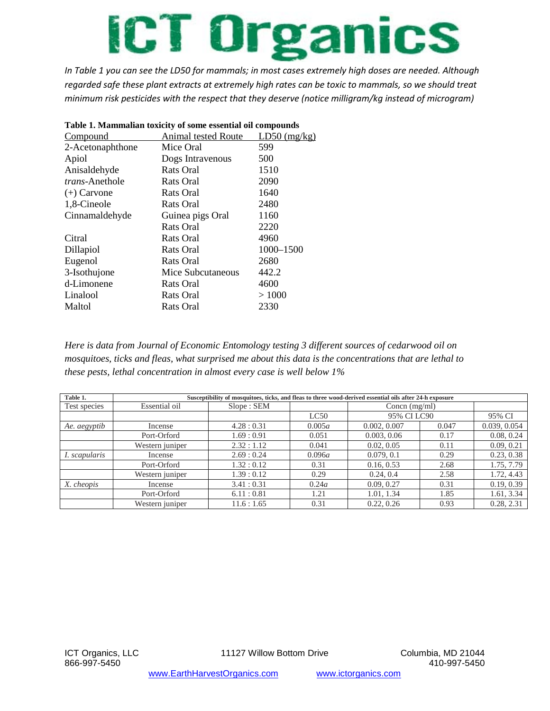*In Table 1 you can see the LD50 for mammals; in most cases extremely high doses are needed. Although regarded safe these plant extracts at extremely high rates can be toxic to mammals, so we should treat minimum risk pesticides with the respect that they deserve (notice milligram/kg instead of microgram)*

| Compound              | Animal tested Route | $LD50$ (mg/kg) |
|-----------------------|---------------------|----------------|
| 2-Acetonaphthone      | Mice Oral           | 599            |
| Apiol                 | Dogs Intravenous    | 500            |
| Anisaldehyde          | Rats Oral           | 1510           |
| <i>trans-Anethole</i> | Rats Oral           | 2090           |
| $(+)$ Carvone         | Rats Oral           | 1640           |
| 1,8-Cineole           | Rats Oral           | 2480           |
| Cinnamaldehyde        | Guinea pigs Oral    | 1160           |
|                       | Rats Oral           | 2220           |
| Citral                | Rats Oral           | 4960           |
| Dillapiol             | Rats Oral           | 1000-1500      |
| Eugenol               | Rats Oral           | 2680           |
| 3-Isothujone          | Mice Subcutaneous   | 442.2          |
| d-Limonene            | Rats Oral           | 4600           |
| Linalool              | Rats Oral           | >1000          |
| Maltol                | Rats Oral           | 2330           |
|                       |                     |                |

### **Table 1. Mammalian toxicity of some essential oil compounds**

*Here is data from Journal of Economic Entomology testing 3 different sources of cedarwood oil on mosquitoes, ticks and fleas, what surprised me about this data is the concentrations that are lethal to these pests, lethal concentration in almost every case is well below 1%*

| Table 1.      | Susceptibility of mosquitoes, ticks, and fleas to three wood-derived essential oils after 24-h exposure |             |        |                 |       |              |
|---------------|---------------------------------------------------------------------------------------------------------|-------------|--------|-----------------|-------|--------------|
| Test species  | Essential oil                                                                                           | Slope : SEM |        | Concn $(mg/ml)$ |       |              |
|               |                                                                                                         |             | LC50   | 95% CI LC90     |       | 95% CI       |
| Ae. aegyptib  | Incense                                                                                                 | 4.28:0.31   | 0.005a | 0.002, 0.007    | 0.047 | 0.039, 0.054 |
|               | Port-Orford                                                                                             | 1.69:0.91   | 0.051  | 0.003, 0.06     | 0.17  | 0.08, 0.24   |
|               | Western juniper                                                                                         | 2.32:1.12   | 0.041  | 0.02, 0.05      | 0.11  | 0.09, 0.21   |
| I. scapularis | Incense                                                                                                 | 2.69:0.24   | 0.096a | 0.079, 0.1      | 0.29  | 0.23, 0.38   |
|               | Port-Orford                                                                                             | 1.32:0.12   | 0.31   | 0.16, 0.53      | 2.68  | 1.75, 7.79   |
|               | Western juniper                                                                                         | 1.39:0.12   | 0.29   | 0.24, 0.4       | 2.58  | 1.72, 4.43   |
| X. cheopis    | Incense                                                                                                 | 3.41:0.31   | 0.24a  | 0.09, 0.27      | 0.31  | 0.19, 0.39   |
|               | Port-Orford                                                                                             | 6.11:0.81   | 1.21   | 1.01, 1.34      | 1.85  | 1.61, 3.34   |
|               | Western juniper                                                                                         | 11.6:1.65   | 0.31   | 0.22, 0.26      | 0.93  | 0.28, 2.31   |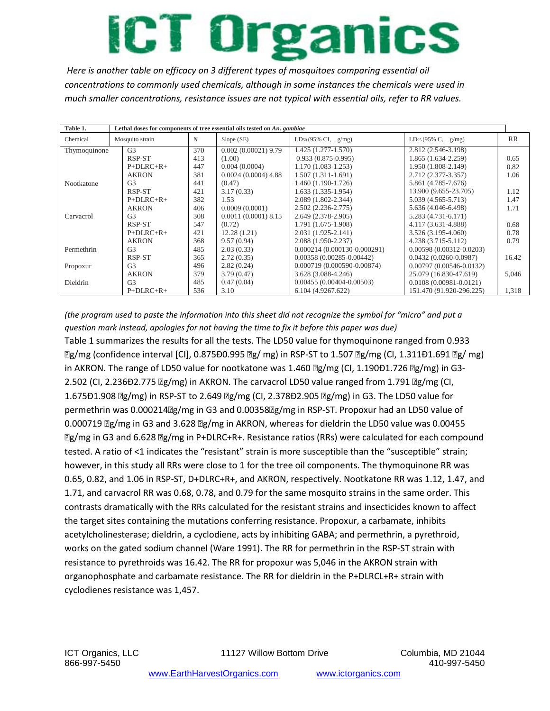*Here is another table on efficacy on 3 different types of mosquitoes comparing essential oil concentrations to commonly used chemicals, although in some instances the chemicals were used in much smaller concentrations, resistance issues are not typical with essential oils, refer to RR values.*

| Table 1.     |                 |                  | Lethal doses for components of tree essential oils tested on An. gambiae |                               |                                    |       |
|--------------|-----------------|------------------|--------------------------------------------------------------------------|-------------------------------|------------------------------------|-------|
| Chemical     | Mosquito strain | $\boldsymbol{N}$ | $Slope$ (SE)                                                             | $LD_{50} (95\% \ CI, \ g/mg)$ | LD <sub>95</sub> (95% C, $_g/mg$ ) | RR    |
| Thymoquinone | G <sub>3</sub>  | 370              | $0.002(0.00021)$ 9.79                                                    | 1.425 (1.277-1.570)           | 2.812 (2.546-3.198)                |       |
|              | RSP-ST          | 413              | (1.00)                                                                   | $0.933(0.875-0.995)$          | 1.865 (1.634-2.259)                | 0.65  |
|              | $P+DLRC+R+$     | 447              | 0.004(0.0004)                                                            | 1.170 (1.083-1.253)           | 1.950 (1.808-2.149)                | 0.82  |
|              | <b>AKRON</b>    | 381              | 0.0024(0.0004)4.88                                                       | $1.507(1.311-1.691)$          | 2.712 (2.377-3.357)                | 1.06  |
| Nootkatone   | G <sub>3</sub>  | 441              | (0.47)                                                                   | 1.460 (1.190-1.726)           | 5.861 (4.785-7.676)                |       |
|              | RSP-ST          | 421              | 3.17(0.33)                                                               | $1.633(1.335-1.954)$          | 13.900 (9.655-23.705)              | 1.12  |
|              | $P+DLRC+R+$     | 382              | 1.53                                                                     | 2.089 (1.802-2.344)           | 5.039 (4.565-5.713)                | 1.47  |
|              | <b>AKRON</b>    | 406              | 0.0009(0.0001)                                                           | 2.502 (2.236-2.775)           | 5.636 (4.046-6.498)                | 1.71  |
| Carvacrol    | G <sub>3</sub>  | 308              | 0.0011(0.0001)8.15                                                       | 2.649 (2.378-2.905)           | 5.283 (4.731-6.171)                |       |
|              | RSP-ST          | 547              | (0.72)                                                                   | 1.791 (1.675-1.908)           | 4.117 (3.631-4.888)                | 0.68  |
|              | $P+DLRC+R+$     | 421              | 12.28(1.21)                                                              | 2.031 (1.925-2.141)           | $3.526(3.195-4.060)$               | 0.78  |
|              | <b>AKRON</b>    | 368              | 9.57(0.94)                                                               | 2.088 (1.950-2.237)           | 4.238 (3.715-5.112)                | 0.79  |
| Permethrin   | G <sub>3</sub>  | 485              | 2.03(0.33)                                                               | $0.000214(0.000130-0.000291)$ | $0.00598(0.00312 - 0.0203)$        |       |
|              | RSP-ST          | 365              | 2.72(0.35)                                                               | $0.00358(0.00285 - 0.00442)$  | $0.0432(0.0260 - 0.0987)$          | 16.42 |
| Propoxur     | G <sub>3</sub>  | 496              | 2.82(0.24)                                                               | 0.000719 (0.000590-0.00874)   | $0.00797(0.00546 - 0.0132)$        |       |
|              | <b>AKRON</b>    | 379              | 3.79(0.47)                                                               | 3.628 (3.088-4.246)           | 25.079 (16.830-47.619)             | 5,046 |
| Dieldrin     | G <sub>3</sub>  | 485              | 0.47(0.04)                                                               | $0.00455(0.00404 - 0.00503)$  | $0.0108(0.00981 - 0.0121)$         |       |
|              | $P+DLRC+R+$     | 536              | 3.10                                                                     | 6.104 (4.9267.622)            | 151.470 (91.920-296.225)           | 1,318 |

*(the program used to paste the information into this sheet did not recognize the symbol for "micro" and put a question mark instead, apologies for not having the time to fix it before this paper was due)* Table 1 summarizes the results for all the tests. The LD50 value for thymoquinone ranged from 0.933  $\mathbb{E}$ g/mg (confidence interval [CI], 0.875Đ0.995  $\mathbb{E}$ g/ mg) in RSP-ST to 1.507  $\mathbb{E}$ g/mg (CI, 1.311Ð1.691  $\mathbb{E}$ g/ mg) in AKRON. The range of LD50 value for nootkatone was 1.460 ag/mg (CI, 1.190Đ1.726 ag/mg) in G3-2.502 (CI, 2.236Đ2.775 @g/mg) in AKRON. The carvacrol LD50 value ranged from 1.791 @g/mg (CI, 1.675Đ1.908 @g/mg) in RSP-ST to 2.649 @g/mg (CI, 2.378Đ2.905 @g/mg) in G3. The LD50 value for permethrin was 0.000214<sup>p</sup>g/mg in G3 and 0.00358<sup>p</sup>g/mg in RSP-ST. Propoxur had an LD50 value of  $0.000719$   $\mathbb{B}$ g/mg in G3 and 3.628  $\mathbb{B}$ g/mg in AKRON, whereas for dieldrin the LD50 value was 0.00455 leg/mg in G3 and 6.628 leg/mg in P+DLRC+R+. Resistance ratios (RRs) were calculated for each compound tested. A ratio of <1 indicates the "resistant" strain is more susceptible than the "susceptible" strain; however, in this study all RRs were close to 1 for the tree oil components. The thymoquinone RR was 0.65, 0.82, and 1.06 in RSP-ST, D+DLRC+R+, and AKRON, respectively. Nootkatone RR was 1.12, 1.47, and 1.71, and carvacrol RR was 0.68, 0.78, and 0.79 for the same mosquito strains in the same order. This contrasts dramatically with the RRs calculated for the resistant strains and insecticides known to affect the target sites containing the mutations conferring resistance. Propoxur, a carbamate, inhibits acetylcholinesterase; dieldrin, a cyclodiene, acts by inhibiting GABA; and permethrin, a pyrethroid, works on the gated sodium channel (Ware 1991). The RR for permethrin in the RSP-ST strain with resistance to pyrethroids was 16.42. The RR for propoxur was 5,046 in the AKRON strain with organophosphate and carbamate resistance. The RR for dieldrin in the P+DLRCL+R+ strain with cyclodienes resistance was 1,457.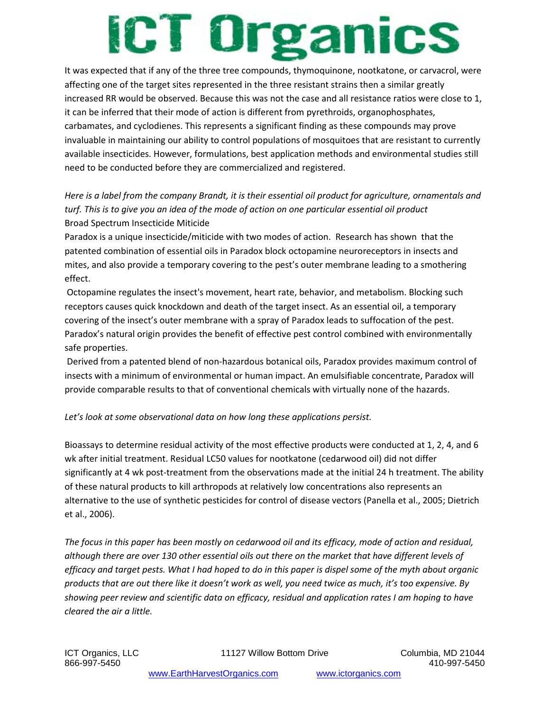It was expected that if any of the three tree compounds, thymoquinone, nootkatone, or carvacrol, were affecting one of the target sites represented in the three resistant strains then a similar greatly increased RR would be observed. Because this was not the case and all resistance ratios were close to 1, it can be inferred that their mode of action is different from pyrethroids, organophosphates, carbamates, and cyclodienes. This represents a significant finding as these compounds may prove invaluable in maintaining our ability to control populations of mosquitoes that are resistant to currently available insecticides. However, formulations, best application methods and environmental studies still need to be conducted before they are commercialized and registered.

*Here is a label from the company Brandt, it is their essential oil product for agriculture, ornamentals and turf. This is to give you an idea of the mode of action on one particular essential oil product* Broad Spectrum Insecticide Miticide

Paradox is a unique insecticide/miticide with two modes of action. Research has shown that the patented combination of essential oils in Paradox block octopamine neuroreceptors in insects and mites, and also provide a temporary covering to the pest's outer membrane leading to a smothering effect.

Octopamine regulates the insect's movement, heart rate, behavior, and metabolism. Blocking such receptors causes quick knockdown and death of the target insect. As an essential oil, a temporary covering of the insect's outer membrane with a spray of Paradox leads to suffocation of the pest. Paradox's natural origin provides the benefit of effective pest control combined with environmentally safe properties.

Derived from a patented blend of non-hazardous botanical oils, Paradox provides maximum control of insects with a minimum of environmental or human impact. An emulsifiable concentrate, Paradox will provide comparable results to that of conventional chemicals with virtually none of the hazards.

### *Let's look at some observational data on how long these applications persist.*

Bioassays to determine residual activity of the most effective products were conducted at 1, 2, 4, and 6 wk after initial treatment. Residual LC50 values for nootkatone (cedarwood oil) did not differ significantly at 4 wk post-treatment from the observations made at the initial 24 h treatment. The ability of these natural products to kill arthropods at relatively low concentrations also represents an alternative to the use of synthetic pesticides for control of disease vectors (Panella et al., 2005; Dietrich et al., 2006).

*The focus in this paper has been mostly on cedarwood oil and its efficacy, mode of action and residual, although there are over 130 other essential oils out there on the market that have different levels of efficacy and target pests. What I had hoped to do in this paper is dispel some of the myth about organic products that are out there like it doesn't work as well, you need twice as much, it's too expensive. By showing peer review and scientific data on efficacy, residual and application rates I am hoping to have cleared the air a little.*